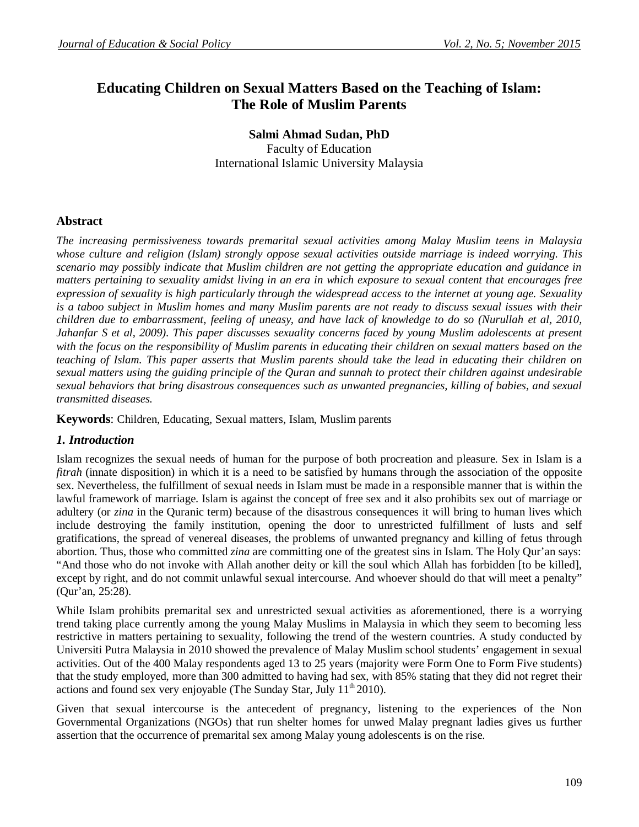# **Educating Children on Sexual Matters Based on the Teaching of Islam: The Role of Muslim Parents**

## **Salmi Ahmad Sudan, PhD** Faculty of Education International Islamic University Malaysia

## **Abstract**

*The increasing permissiveness towards premarital sexual activities among Malay Muslim teens in Malaysia whose culture and religion (Islam) strongly oppose sexual activities outside marriage is indeed worrying. This scenario may possibly indicate that Muslim children are not getting the appropriate education and guidance in matters pertaining to sexuality amidst living in an era in which exposure to sexual content that encourages free expression of sexuality is high particularly through the widespread access to the internet at young age. Sexuality is a taboo subject in Muslim homes and many Muslim parents are not ready to discuss sexual issues with their children due to embarrassment, feeling of uneasy, and have lack of knowledge to do so (Nurullah et al, 2010, Jahanfar S et al, 2009). This paper discusses sexuality concerns faced by young Muslim adolescents at present*  with the focus on the responsibility of Muslim parents in educating their children on sexual matters based on the *teaching of Islam. This paper asserts that Muslim parents should take the lead in educating their children on sexual matters using the guiding principle of the Quran and sunnah to protect their children against undesirable sexual behaviors that bring disastrous consequences such as unwanted pregnancies, killing of babies, and sexual transmitted diseases.*

**Keywords**: Children, Educating, Sexual matters, Islam, Muslim parents

### *1. Introduction*

Islam recognizes the sexual needs of human for the purpose of both procreation and pleasure. Sex in Islam is a *fitrah* (innate disposition) in which it is a need to be satisfied by humans through the association of the opposite sex. Nevertheless, the fulfillment of sexual needs in Islam must be made in a responsible manner that is within the lawful framework of marriage. Islam is against the concept of free sex and it also prohibits sex out of marriage or adultery (or *zina* in the Quranic term) because of the disastrous consequences it will bring to human lives which include destroying the family institution, opening the door to unrestricted fulfillment of lusts and self gratifications, the spread of venereal diseases, the problems of unwanted pregnancy and killing of fetus through abortion. Thus, those who committed *zina* are committing one of the greatest sins in Islam. The Holy Qur'an says: "And those who do not invoke with Allah another deity or kill the soul which Allah has forbidden [to be killed], except by right, and do not commit unlawful sexual intercourse. And whoever should do that will meet a penalty" (Qur'an, 25:28).

While Islam prohibits premarital sex and unrestricted sexual activities as aforementioned, there is a worrying trend taking place currently among the young Malay Muslims in Malaysia in which they seem to becoming less restrictive in matters pertaining to sexuality, following the trend of the western countries. A study conducted by Universiti Putra Malaysia in 2010 showed the prevalence of Malay Muslim school students' engagement in sexual activities. Out of the 400 Malay respondents aged 13 to 25 years (majority were Form One to Form Five students) that the study employed, more than 300 admitted to having had sex, with 85% stating that they did not regret their actions and found sex very enjoyable (The Sunday Star, July  $11<sup>th</sup> 2010$ ).

Given that sexual intercourse is the antecedent of pregnancy, listening to the experiences of the Non Governmental Organizations (NGOs) that run shelter homes for unwed Malay pregnant ladies gives us further assertion that the occurrence of premarital sex among Malay young adolescents is on the rise.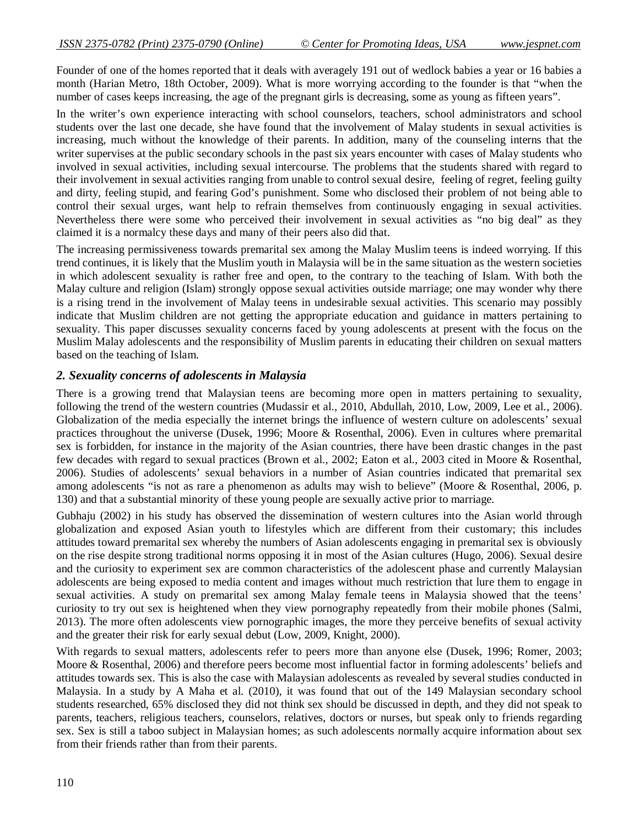Founder of one of the homes reported that it deals with averagely 191 out of wedlock babies a year or 16 babies a month (Harian Metro, 18th October, 2009). What is more worrying according to the founder is that "when the number of cases keeps increasing, the age of the pregnant girls is decreasing, some as young as fifteen years".

In the writer's own experience interacting with school counselors, teachers, school administrators and school students over the last one decade, she have found that the involvement of Malay students in sexual activities is increasing, much without the knowledge of their parents. In addition, many of the counseling interns that the writer supervises at the public secondary schools in the past six years encounter with cases of Malay students who involved in sexual activities, including sexual intercourse. The problems that the students shared with regard to their involvement in sexual activities ranging from unable to control sexual desire, feeling of regret, feeling guilty and dirty, feeling stupid, and fearing God's punishment. Some who disclosed their problem of not being able to control their sexual urges, want help to refrain themselves from continuously engaging in sexual activities. Nevertheless there were some who perceived their involvement in sexual activities as "no big deal" as they claimed it is a normalcy these days and many of their peers also did that.

The increasing permissiveness towards premarital sex among the Malay Muslim teens is indeed worrying. If this trend continues, it is likely that the Muslim youth in Malaysia will be in the same situation as the western societies in which adolescent sexuality is rather free and open, to the contrary to the teaching of Islam. With both the Malay culture and religion (Islam) strongly oppose sexual activities outside marriage; one may wonder why there is a rising trend in the involvement of Malay teens in undesirable sexual activities. This scenario may possibly indicate that Muslim children are not getting the appropriate education and guidance in matters pertaining to sexuality. This paper discusses sexuality concerns faced by young adolescents at present with the focus on the Muslim Malay adolescents and the responsibility of Muslim parents in educating their children on sexual matters based on the teaching of Islam.

#### *2. Sexuality concerns of adolescents in Malaysia*

There is a growing trend that Malaysian teens are becoming more open in matters pertaining to sexuality, following the trend of the western countries (Mudassir et al., 2010, Abdullah, 2010, Low, 2009, Lee et al., 2006). Globalization of the media especially the internet brings the influence of western culture on adolescents' sexual practices throughout the universe (Dusek, 1996; Moore & Rosenthal, 2006). Even in cultures where premarital sex is forbidden, for instance in the majority of the Asian countries, there have been drastic changes in the past few decades with regard to sexual practices (Brown et al., 2002; Eaton et al., 2003 cited in Moore & Rosenthal, 2006). Studies of adolescents' sexual behaviors in a number of Asian countries indicated that premarital sex among adolescents "is not as rare a phenomenon as adults may wish to believe" (Moore & Rosenthal, 2006, p. 130) and that a substantial minority of these young people are sexually active prior to marriage.

Gubhaju (2002) in his study has observed the dissemination of western cultures into the Asian world through globalization and exposed Asian youth to lifestyles which are different from their customary; this includes attitudes toward premarital sex whereby the numbers of Asian adolescents engaging in premarital sex is obviously on the rise despite strong traditional norms opposing it in most of the Asian cultures (Hugo, 2006). Sexual desire and the curiosity to experiment sex are common characteristics of the adolescent phase and currently Malaysian adolescents are being exposed to media content and images without much restriction that lure them to engage in sexual activities. A study on premarital sex among Malay female teens in Malaysia showed that the teens' curiosity to try out sex is heightened when they view pornography repeatedly from their mobile phones (Salmi, 2013). The more often adolescents view pornographic images, the more they perceive benefits of sexual activity and the greater their risk for early sexual debut (Low, 2009, Knight, 2000).

With regards to sexual matters, adolescents refer to peers more than anyone else (Dusek, 1996; Romer, 2003; Moore & Rosenthal, 2006) and therefore peers become most influential factor in forming adolescents' beliefs and attitudes towards sex. This is also the case with Malaysian adolescents as revealed by several studies conducted in Malaysia. In a study by A Maha et al. (2010), it was found that out of the 149 Malaysian secondary school students researched, 65% disclosed they did not think sex should be discussed in depth, and they did not speak to parents, teachers, religious teachers, counselors, relatives, doctors or nurses, but speak only to friends regarding sex. Sex is still a taboo subject in Malaysian homes; as such adolescents normally acquire information about sex from their friends rather than from their parents.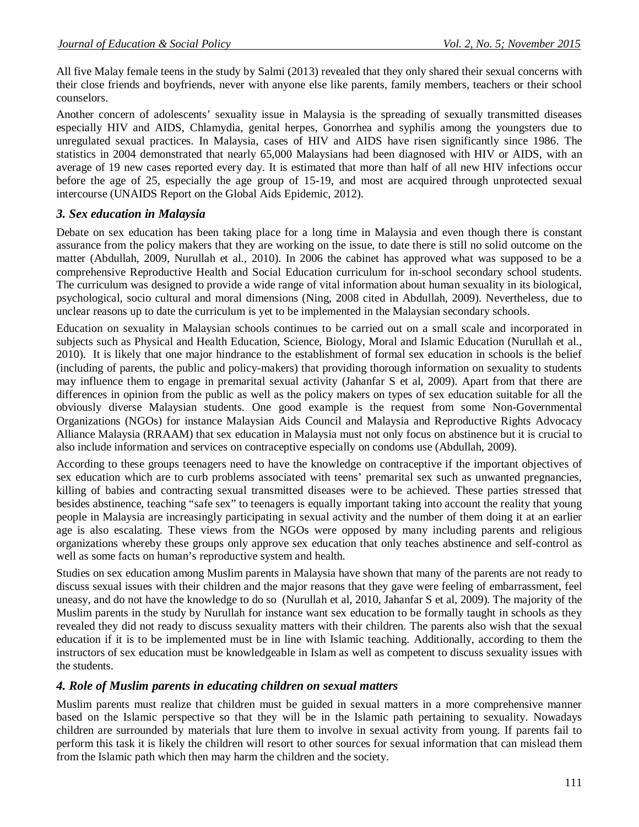All five Malay female teens in the study by Salmi (2013) revealed that they only shared their sexual concerns with their close friends and boyfriends, never with anyone else like parents, family members, teachers or their school counselors.

Another concern of adolescents' sexuality issue in Malaysia is the spreading of sexually transmitted diseases especially HIV and AIDS, Chlamydia, genital herpes, Gonorrhea and syphilis among the youngsters due to unregulated sexual practices. In Malaysia, cases of HIV and AIDS have risen significantly since 1986. The statistics in 2004 demonstrated that nearly 65,000 Malaysians had been diagnosed with HIV or AIDS, with an average of 19 new cases reported every day. It is estimated that more than half of all new HIV infections occur before the age of 25, especially the age group of 15-19, and most are acquired through unprotected sexual intercourse (UNAIDS Report on the Global Aids Epidemic, 2012).

## *3. Sex education in Malaysia*

Debate on sex education has been taking place for a long time in Malaysia and even though there is constant assurance from the policy makers that they are working on the issue, to date there is still no solid outcome on the matter (Abdullah, 2009, Nurullah et al., 2010). In 2006 the cabinet has approved what was supposed to be a comprehensive Reproductive Health and Social Education curriculum for in-school secondary school students. The curriculum was designed to provide a wide range of vital information about human sexuality in its biological, psychological, socio cultural and moral dimensions (Ning, 2008 cited in Abdullah, 2009). Nevertheless, due to unclear reasons up to date the curriculum is yet to be implemented in the Malaysian secondary schools.

Education on sexuality in Malaysian schools continues to be carried out on a small scale and incorporated in subjects such as Physical and Health Education, Science, Biology, Moral and Islamic Education (Nurullah et al., 2010). It is likely that one major hindrance to the establishment of formal sex education in schools is the belief (including of parents, the public and policy-makers) that providing thorough information on sexuality to students may influence them to engage in premarital sexual activity (Jahanfar S et al, 2009). Apart from that there are differences in opinion from the public as well as the policy makers on types of sex education suitable for all the obviously diverse Malaysian students. One good example is the request from some Non-Governmental Organizations (NGOs) for instance Malaysian Aids Council and Malaysia and Reproductive Rights Advocacy Alliance Malaysia (RRAAM) that sex education in Malaysia must not only focus on abstinence but it is crucial to also include information and services on contraceptive especially on condoms use (Abdullah, 2009).

According to these groups teenagers need to have the knowledge on contraceptive if the important objectives of sex education which are to curb problems associated with teens' premarital sex such as unwanted pregnancies, killing of babies and contracting sexual transmitted diseases were to be achieved. These parties stressed that besides abstinence, teaching "safe sex" to teenagers is equally important taking into account the reality that young people in Malaysia are increasingly participating in sexual activity and the number of them doing it at an earlier age is also escalating. These views from the NGOs were opposed by many including parents and religious organizations whereby these groups only approve sex education that only teaches abstinence and self-control as well as some facts on human's reproductive system and health.

Studies on sex education among Muslim parents in Malaysia have shown that many of the parents are not ready to discuss sexual issues with their children and the major reasons that they gave were feeling of embarrassment, feel uneasy, and do not have the knowledge to do so (Nurullah et al, 2010, Jahanfar S et al, 2009). The majority of the Muslim parents in the study by Nurullah for instance want sex education to be formally taught in schools as they revealed they did not ready to discuss sexuality matters with their children. The parents also wish that the sexual education if it is to be implemented must be in line with Islamic teaching. Additionally, according to them the instructors of sex education must be knowledgeable in Islam as well as competent to discuss sexuality issues with the students.

## *4. Role of Muslim parents in educating children on sexual matters*

Muslim parents must realize that children must be guided in sexual matters in a more comprehensive manner based on the Islamic perspective so that they will be in the Islamic path pertaining to sexuality. Nowadays children are surrounded by materials that lure them to involve in sexual activity from young. If parents fail to perform this task it is likely the children will resort to other sources for sexual information that can mislead them from the Islamic path which then may harm the children and the society.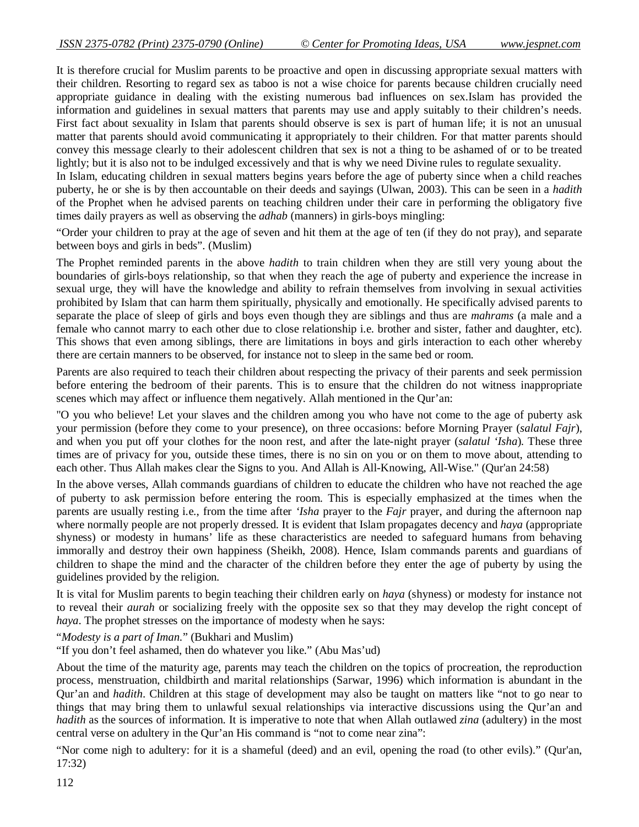It is therefore crucial for Muslim parents to be proactive and open in discussing appropriate sexual matters with their children. Resorting to regard sex as taboo is not a wise choice for parents because children crucially need appropriate guidance in dealing with the existing numerous bad influences on sex.Islam has provided the information and guidelines in sexual matters that parents may use and apply suitably to their children's needs. First fact about sexuality in Islam that parents should observe is sex is part of human life; it is not an unusual matter that parents should avoid communicating it appropriately to their children. For that matter parents should convey this message clearly to their adolescent children that sex is not a thing to be ashamed of or to be treated lightly; but it is also not to be indulged excessively and that is why we need Divine rules to regulate sexuality.

In Islam, educating children in sexual matters begins years before the age of puberty since when a child reaches puberty, he or she is by then accountable on their deeds and sayings (Ulwan, 2003). This can be seen in a *hadith*  of the Prophet when he advised parents on teaching children under their care in performing the obligatory five times daily prayers as well as observing the *adhab* (manners) in girls-boys mingling:

"Order your children to pray at the age of seven and hit them at the age of ten (if they do not pray), and separate between boys and girls in beds". (Muslim)

The Prophet reminded parents in the above *hadith* to train children when they are still very young about the boundaries of girls-boys relationship, so that when they reach the age of puberty and experience the increase in sexual urge, they will have the knowledge and ability to refrain themselves from involving in sexual activities prohibited by Islam that can harm them spiritually, physically and emotionally. He specifically advised parents to separate the place of sleep of girls and boys even though they are siblings and thus are *mahrams* (a male and a female who cannot marry to each other due to close relationship i.e. brother and sister, father and daughter, etc). This shows that even among siblings, there are limitations in boys and girls interaction to each other whereby there are certain manners to be observed, for instance not to sleep in the same bed or room.

Parents are also required to teach their children about respecting the privacy of their parents and seek permission before entering the bedroom of their parents. This is to ensure that the children do not witness inappropriate scenes which may affect or influence them negatively. Allah mentioned in the Qur'an:

"O you who believe! Let your slaves and the children among you who have not come to the age of puberty ask your permission (before they come to your presence), on three occasions: before Morning Prayer (*salatul Fajr*), and when you put off your clothes for the noon rest, and after the late-night prayer (*salatul 'Isha*). These three times are of privacy for you, outside these times, there is no sin on you or on them to move about, attending to each other. Thus Allah makes clear the Signs to you. And Allah is All-Knowing, All-Wise." (Qur'an 24:58)

In the above verses, Allah commands guardians of children to educate the children who have not reached the age of puberty to ask permission before entering the room. This is especially emphasized at the times when the parents are usually resting i.e., from the time after *'Isha* prayer to the *Fajr* prayer, and during the afternoon nap where normally people are not properly dressed. It is evident that Islam propagates decency and *haya* (appropriate shyness) or modesty in humans' life as these characteristics are needed to safeguard humans from behaving immorally and destroy their own happiness (Sheikh, 2008). Hence, Islam commands parents and guardians of children to shape the mind and the character of the children before they enter the age of puberty by using the guidelines provided by the religion.

It is vital for Muslim parents to begin teaching their children early on *haya* (shyness) or modesty for instance not to reveal their *aurah* or socializing freely with the opposite sex so that they may develop the right concept of *haya*. The prophet stresses on the importance of modesty when he says:

"*Modesty is a part of Iman.*" (Bukhari and Muslim)

"If you don't feel ashamed, then do whatever you like." (Abu Mas'ud)

About the time of the maturity age, parents may teach the children on the topics of procreation, the reproduction process, menstruation, childbirth and marital relationships (Sarwar, 1996) which information is abundant in the Qur'an and *hadith*. Children at this stage of development may also be taught on matters like "not to go near to things that may bring them to unlawful sexual relationships via interactive discussions using the Qur'an and *hadith* as the sources of information. It is imperative to note that when Allah outlawed *zina* (adultery) in the most central verse on adultery in the Qur'an His command is "not to come near zina":

"Nor come nigh to adultery: for it is a shameful (deed) and an evil, opening the road (to other evils)." (Qur'an, 17:32)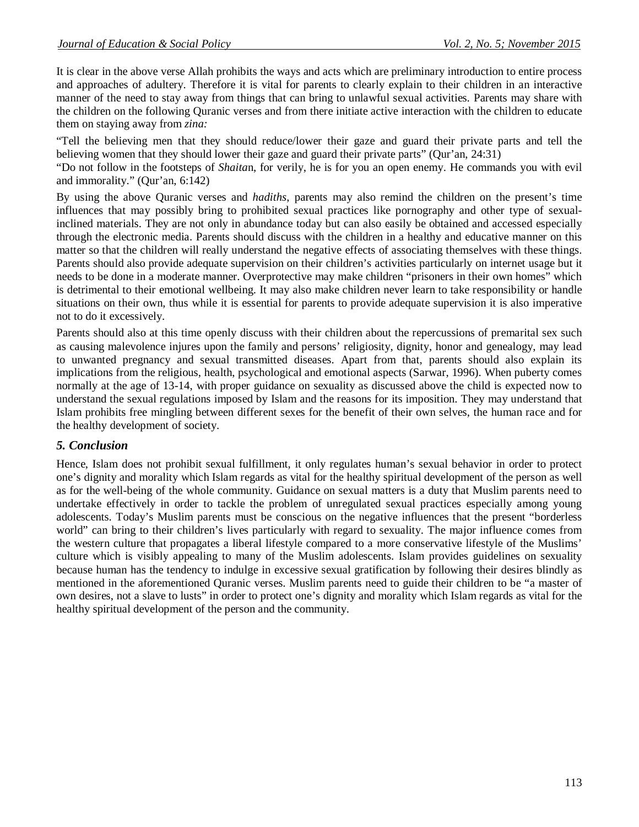It is clear in the above verse Allah prohibits the ways and acts which are preliminary introduction to entire process and approaches of adultery. Therefore it is vital for parents to clearly explain to their children in an interactive manner of the need to stay away from things that can bring to unlawful sexual activities*.* Parents may share with the children on the following Quranic verses and from there initiate active interaction with the children to educate them on staying away from *zina:*

"Tell the believing men that they should reduce/lower their gaze and guard their private parts and tell the believing women that they should lower their gaze and guard their private parts" (Qur'an, 24:31)

"Do not follow in the footsteps of *Shaita*n, for verily, he is for you an open enemy. He commands you with evil and immorality." (Qur'an, 6:142)

By using the above Quranic verses and *hadiths*, parents may also remind the children on the present's time influences that may possibly bring to prohibited sexual practices like pornography and other type of sexualinclined materials. They are not only in abundance today but can also easily be obtained and accessed especially through the electronic media. Parents should discuss with the children in a healthy and educative manner on this matter so that the children will really understand the negative effects of associating themselves with these things. Parents should also provide adequate supervision on their children's activities particularly on internet usage but it needs to be done in a moderate manner. Overprotective may make children "prisoners in their own homes" which is detrimental to their emotional wellbeing. It may also make children never learn to take responsibility or handle situations on their own, thus while it is essential for parents to provide adequate supervision it is also imperative not to do it excessively.

Parents should also at this time openly discuss with their children about the repercussions of premarital sex such as causing malevolence injures upon the family and persons' religiosity, dignity, honor and genealogy, may lead to unwanted pregnancy and sexual transmitted diseases. Apart from that, parents should also explain its implications from the religious, health, psychological and emotional aspects (Sarwar, 1996). When puberty comes normally at the age of 13-14, with proper guidance on sexuality as discussed above the child is expected now to understand the sexual regulations imposed by Islam and the reasons for its imposition. They may understand that Islam prohibits free mingling between different sexes for the benefit of their own selves, the human race and for the healthy development of society.

## *5. Conclusion*

Hence, Islam does not prohibit sexual fulfillment, it only regulates human's sexual behavior in order to protect one's dignity and morality which Islam regards as vital for the healthy spiritual development of the person as well as for the well-being of the whole community. Guidance on sexual matters is a duty that Muslim parents need to undertake effectively in order to tackle the problem of unregulated sexual practices especially among young adolescents. Today's Muslim parents must be conscious on the negative influences that the present "borderless world" can bring to their children's lives particularly with regard to sexuality. The major influence comes from the western culture that propagates a liberal lifestyle compared to a more conservative lifestyle of the Muslims' culture which is visibly appealing to many of the Muslim adolescents. Islam provides guidelines on sexuality because human has the tendency to indulge in excessive sexual gratification by following their desires blindly as mentioned in the aforementioned Quranic verses. Muslim parents need to guide their children to be "a master of own desires, not a slave to lusts" in order to protect one's dignity and morality which Islam regards as vital for the healthy spiritual development of the person and the community.